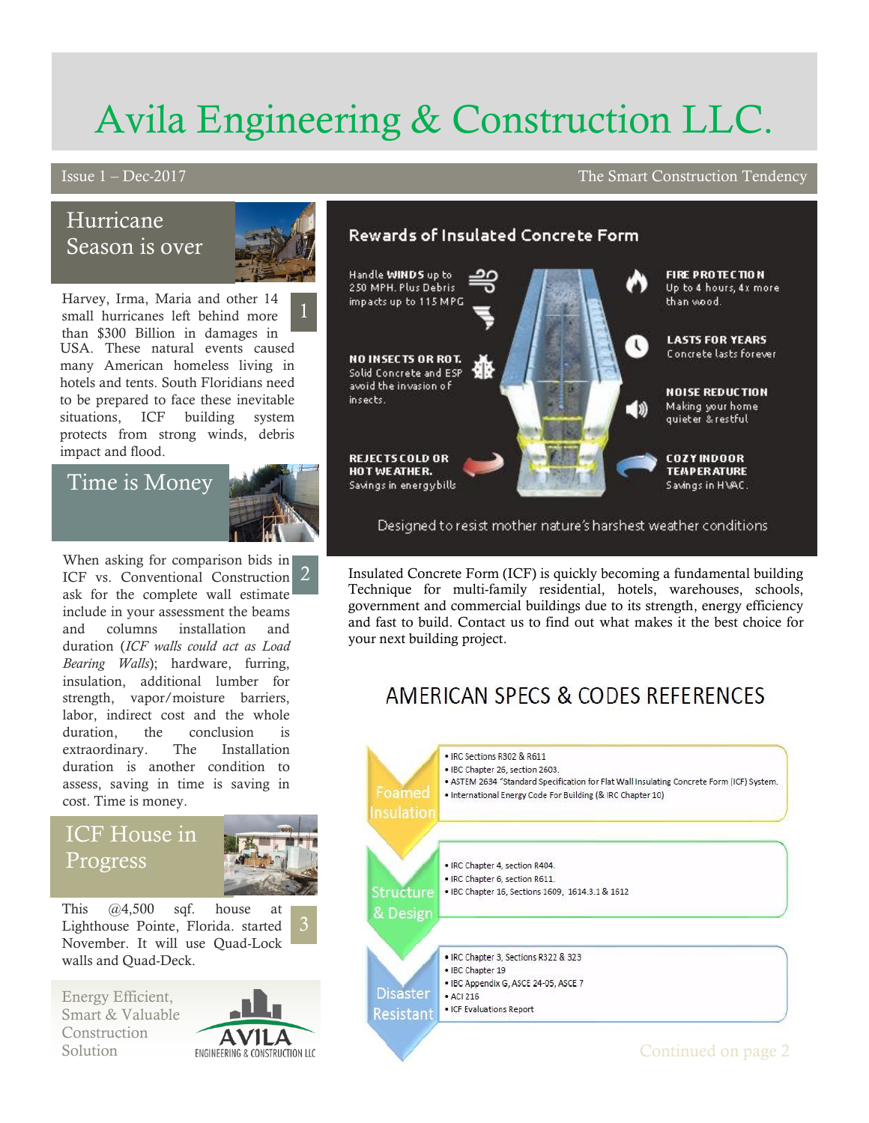# Avila Engineering & Construction LLC.

#### Issue 1 – Dec-2017 The Smart Construction Tendency

# Hurricane Season is over



Harvey, Irma, Maria and other 14 small hurricanes left behind more than \$300 Billion in damages in USA. These natural events caused many American homeless living in hotels and tents. South Floridians need to be prepared to face these inevitable situations, ICF building system protects from strong winds, debris impact and flood.

## Time is Money



# ICF House in Progress



This @4,500 sqf. house at Lighthouse Pointe, Florida. started November. It will use Quad-Lock walls and Quad-Deck.

Energy Efficient, Smart & Valuable Construction





Designed to resist mother nature's harshest weather conditions.

Insulated Concrete Form (ICF) is quickly becoming a fundamental building Technique for multi-family residential, hotels, warehouses, schools, government and commercial buildings due to its strength, energy efficiency and fast to build. Contact us to find out what makes it the best choice for your next building project.

# AMERICAN SPECS & CODES REFERENCES